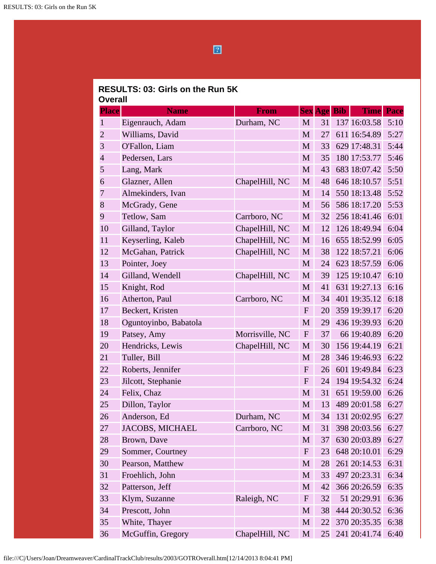$\boxed{2}$ 

## **RESULTS: 03: Girls on the Run 5K Overall**

|                |                        |                 |              |    |                    | <b>Time</b>  |             |
|----------------|------------------------|-----------------|--------------|----|--------------------|--------------|-------------|
| <b>Place</b>   | <b>Name</b>            | <b>From</b>     |              |    | <b>Sex Age Bib</b> |              | <b>Pace</b> |
| $\mathbf{1}$   | Eigenrauch, Adam       | Durham, NC      | M            | 31 |                    | 137 16:03.58 | 5:10        |
| $\overline{c}$ | Williams, David        |                 | M            | 27 |                    | 611 16:54.89 | 5:27        |
| 3              | O'Fallon, Liam         |                 | M            | 33 |                    | 629 17:48.31 | 5:44        |
| $\overline{4}$ | Pedersen, Lars         |                 | M            | 35 |                    | 180 17:53.77 | 5:46        |
| 5              | Lang, Mark             |                 | M            | 43 |                    | 683 18:07.42 | 5:50        |
| 6              | Glazner, Allen         | ChapelHill, NC  | M            | 48 |                    | 646 18:10.57 | 5:51        |
| 7              | Almekinders, Ivan      |                 | M            | 14 |                    | 550 18:13.48 | 5:52        |
| 8              | McGrady, Gene          |                 | M            | 56 |                    | 586 18:17.20 | 5:53        |
| 9              | Tetlow, Sam            | Carrboro, NC    | M            | 32 |                    | 256 18:41.46 | 6:01        |
| 10             | Gilland, Taylor        | ChapelHill, NC  | M            | 12 |                    | 126 18:49.94 | 6:04        |
| 11             | Keyserling, Kaleb      | ChapelHill, NC  | M            | 16 |                    | 655 18:52.99 | 6:05        |
| 12             | McGahan, Patrick       | ChapelHill, NC  | M            | 38 |                    | 122 18:57.21 | 6:06        |
| 13             | Pointer, Joey          |                 | M            | 24 |                    | 623 18:57.59 | 6:06        |
| 14             | Gilland, Wendell       | ChapelHill, NC  | M            | 39 |                    | 125 19:10.47 | 6:10        |
| 15             | Knight, Rod            |                 | M            | 41 |                    | 631 19:27.13 | 6:16        |
| 16             | Atherton, Paul         | Carrboro, NC    | M            | 34 |                    | 401 19:35.12 | 6:18        |
| 17             | Beckert, Kristen       |                 | $\mathbf{F}$ | 20 |                    | 359 19:39.17 | 6:20        |
| 18             | Oguntoyinbo, Babatola  |                 | $\mathbf{M}$ | 29 |                    | 436 19:39.93 | 6:20        |
| 19             | Patsey, Amy            | Morrisville, NC | $\mathbf{F}$ | 37 |                    | 66 19:40.89  | 6:20        |
| 20             | Hendricks, Lewis       | ChapelHill, NC  | M            | 30 |                    | 156 19:44.19 | 6:21        |
| 21             | Tuller, Bill           |                 | M            | 28 |                    | 346 19:46.93 | 6:22        |
| 22             | Roberts, Jennifer      |                 | ${\bf F}$    | 26 |                    | 601 19:49.84 | 6:23        |
| 23             | Jilcott, Stephanie     |                 | $\mathbf{F}$ | 24 |                    | 194 19:54.32 | 6:24        |
| 24             | Felix, Chaz            |                 | M            | 31 |                    | 651 19:59.00 | 6:26        |
| 25             | Dillon, Taylor         |                 | M            | 13 |                    | 489 20:01.58 | 6:27        |
| 26             | Anderson, Ed           | Durham, NC      | M            | 34 |                    | 131 20:02.95 | 6:27        |
| 27             | <b>JACOBS, MICHAEL</b> | Carrboro, NC    | M            | 31 |                    | 398 20:03.56 | 6:27        |
| 28             | Brown, Dave            |                 | M            | 37 |                    | 630 20:03.89 | 6:27        |
| 29             | Sommer, Courtney       |                 | $\mathbf{F}$ | 23 |                    | 648 20:10.01 | 6:29        |
| 30             | Pearson, Matthew       |                 | M            | 28 |                    | 261 20:14.53 | 6:31        |
| 31             | Froehlich, John        |                 | M            | 33 |                    | 497 20:23.31 | 6:34        |
| 32             | Patterson, Jeff        |                 | M            | 42 |                    | 366 20:26.59 | 6:35        |
| 33             | Klym, Suzanne          | Raleigh, NC     | $\mathbf{F}$ | 32 |                    | 51 20:29.91  | 6:36        |
| 34             | Prescott, John         |                 | M            | 38 |                    | 444 20:30.52 | 6:36        |
| 35             | White, Thayer          |                 | M            | 22 |                    | 370 20:35.35 | 6:38        |
| 36             | McGuffin, Gregory      | ChapelHill, NC  | M            | 25 |                    | 241 20:41.74 | 6:40        |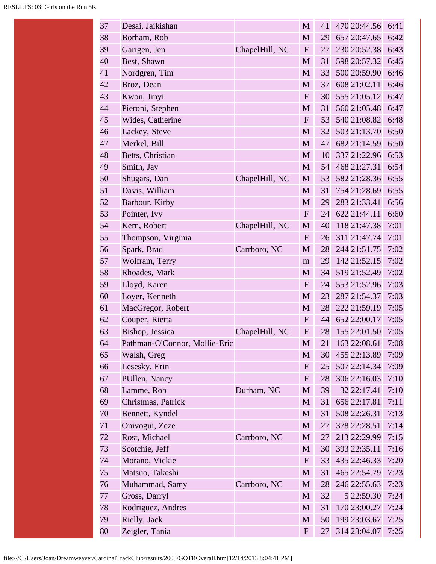| 37 | Desai, Jaikishan              |                | M            | 41 | 470 20:44.56 | 6:41 |
|----|-------------------------------|----------------|--------------|----|--------------|------|
| 38 | Borham, Rob                   |                | M            | 29 | 657 20:47.65 | 6:42 |
| 39 | Garigen, Jen                  | ChapelHill, NC | ${\bf F}$    | 27 | 230 20:52.38 | 6:43 |
| 40 | Best, Shawn                   |                | M            | 31 | 598 20:57.32 | 6:45 |
| 41 | Nordgren, Tim                 |                | M            | 33 | 500 20:59.90 | 6:46 |
| 42 | Broz, Dean                    |                | M            | 37 | 608 21:02.11 | 6:46 |
| 43 | Kwon, Jinyi                   |                | ${\bf F}$    | 30 | 555 21:05.12 | 6:47 |
| 44 | Pieroni, Stephen              |                | M            | 31 | 560 21:05.48 | 6:47 |
| 45 | Wides, Catherine              |                | $\mathbf{F}$ | 53 | 540 21:08.82 | 6:48 |
| 46 | Lackey, Steve                 |                | M            | 32 | 503 21:13.70 | 6:50 |
| 47 | Merkel, Bill                  |                | M            | 47 | 682 21:14.59 | 6:50 |
| 48 | Betts, Christian              |                | M            | 10 | 337 21:22.96 | 6:53 |
| 49 | Smith, Jay                    |                | M            | 54 | 468 21:27.31 | 6:54 |
| 50 | Shugars, Dan                  | ChapelHill, NC | M            | 53 | 582 21:28.36 | 6:55 |
| 51 | Davis, William                |                | $\mathbf{M}$ | 31 | 754 21:28.69 | 6:55 |
| 52 | Barbour, Kirby                |                | M            | 29 | 283 21:33.41 | 6:56 |
| 53 | Pointer, Ivy                  |                | $\mathbf F$  | 24 | 622 21:44.11 | 6:60 |
| 54 | Kern, Robert                  | ChapelHill, NC | M            | 40 | 118 21:47.38 | 7:01 |
| 55 | Thompson, Virginia            |                | ${\bf F}$    | 26 | 311 21:47.74 | 7:01 |
| 56 | Spark, Brad                   | Carrboro, NC   | M            | 28 | 244 21:51.75 | 7:02 |
| 57 | Wolfram, Terry                |                | m            | 29 | 142 21:52.15 | 7:02 |
| 58 | Rhoades, Mark                 |                | M            | 34 | 519 21:52.49 | 7:02 |
| 59 | Lloyd, Karen                  |                | ${\bf F}$    | 24 | 553 21:52.96 | 7:03 |
| 60 | Loyer, Kenneth                |                | M            | 23 | 287 21:54.37 | 7:03 |
| 61 | MacGregor, Robert             |                | M            | 28 | 222 21:59.19 | 7:05 |
| 62 | Couper, Rietta                |                | $\mathbf{F}$ | 44 | 652 22:00.17 | 7:05 |
| 63 | Bishop, Jessica               | ChapelHill, NC | $\mathbf{F}$ | 28 | 155 22:01.50 | 7:05 |
| 64 | Pathman-O'Connor, Mollie-Eric |                | $\mathbf M$  | 21 | 163 22:08.61 | 7:08 |
| 65 | Walsh, Greg                   |                | M            | 30 | 455 22:13.89 | 7:09 |
| 66 | Lesesky, Erin                 |                | $\mathbf{F}$ | 25 | 507 22:14.34 | 7:09 |
| 67 | PUllen, Nancy                 |                | $\mathbf{F}$ | 28 | 306 22:16.03 | 7:10 |
| 68 | Lamme, Rob                    | Durham, NC     | M            | 39 | 32 22:17.41  | 7:10 |
| 69 | Christmas, Patrick            |                | M            | 31 | 656 22:17.81 | 7:11 |
| 70 | Bennett, Kyndel               |                | M            | 31 | 508 22:26.31 | 7:13 |
| 71 | Onivogui, Zeze                |                | M            | 27 | 378 22:28.51 | 7:14 |
| 72 | Rost, Michael                 | Carrboro, NC   | M            | 27 | 213 22:29.99 | 7:15 |
| 73 | Scotchie, Jeff                |                | M            | 30 | 393 22:35.11 | 7:16 |
| 74 | Morano, Vickie                |                | $\mathbf{F}$ | 33 | 435 22:46.33 | 7:20 |
| 75 | Matsuo, Takeshi               |                | M            | 31 | 465 22:54.79 | 7:23 |
| 76 | Muhammad, Samy                | Carrboro, NC   | M            | 28 | 246 22:55.63 | 7:23 |
| 77 | Gross, Darryl                 |                | M            | 32 | 5 22:59.30   | 7:24 |
| 78 | Rodriguez, Andres             |                | M            | 31 | 170 23:00.27 | 7:24 |
| 79 | Rielly, Jack                  |                | M            | 50 | 199 23:03.67 | 7:25 |
| 80 | Zeigler, Tania                |                | $\mathbf{F}$ | 27 | 314 23:04.07 | 7:25 |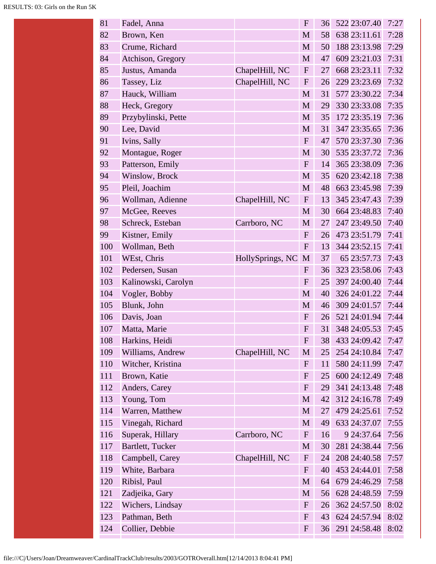| 81  | Fadel, Anna         |                  | $\mathbf F$  | 36 | 522 23:07.40 | 7:27 |
|-----|---------------------|------------------|--------------|----|--------------|------|
| 82  | Brown, Ken          |                  | $\mathbf{M}$ | 58 | 638 23:11.61 | 7:28 |
| 83  | Crume, Richard      |                  | M            | 50 | 188 23:13.98 | 7:29 |
| 84  | Atchison, Gregory   |                  | $\mathbf{M}$ | 47 | 609 23:21.03 | 7:31 |
| 85  | Justus, Amanda      | ChapelHill, NC   | $\mathbf{F}$ | 27 | 668 23:23.11 | 7:32 |
| 86  | Tassey, Liz         | ChapelHill, NC   | $\mathbf{F}$ | 26 | 229 23:23.69 | 7:32 |
| 87  | Hauck, William      |                  | M            | 31 | 577 23:30.22 | 7:34 |
| 88  | Heck, Gregory       |                  | M            | 29 | 330 23:33.08 | 7:35 |
| 89  | Przybylinski, Pette |                  | M            | 35 | 172 23:35.19 | 7:36 |
| 90  | Lee, David          |                  | $\mathbf{M}$ | 31 | 347 23:35.65 | 7:36 |
| 91  | Ivins, Sally        |                  | $\mathbf{F}$ | 47 | 570 23:37.30 | 7:36 |
| 92  | Montague, Roger     |                  | M            | 30 | 535 23:37.72 | 7:36 |
| 93  | Patterson, Emily    |                  | $\mathbf{F}$ | 14 | 365 23:38.09 | 7:36 |
| 94  | Winslow, Brock      |                  | M            | 35 | 620 23:42.18 | 7:38 |
| 95  | Pleil, Joachim      |                  | M            | 48 | 663 23:45.98 | 7:39 |
| 96  | Wollman, Adienne    | ChapelHill, NC   | $\mathbf{F}$ | 13 | 345 23:47.43 | 7:39 |
| 97  | McGee, Reeves       |                  | M            | 30 | 664 23:48.83 | 7:40 |
| 98  | Schreck, Esteban    | Carrboro, NC     | $\mathbf M$  | 27 | 247 23:49.50 | 7:40 |
| 99  | Kistner, Emily      |                  | $\mathbf{F}$ | 26 | 473 23:51.79 | 7:41 |
| 100 | Wollman, Beth       |                  | $\mathbf{F}$ | 13 | 344 23:52.15 | 7:41 |
| 101 | WEst, Chris         | HollySprings, NC | M            | 37 | 65 23:57.73  | 7:43 |
| 102 | Pedersen, Susan     |                  | $\mathbf{F}$ | 36 | 323 23:58.06 | 7:43 |
| 103 | Kalinowski, Carolyn |                  | $\mathbf{F}$ | 25 | 397 24:00.40 | 7:44 |
| 104 | Vogler, Bobby       |                  | M            | 40 | 326 24:01.22 | 7:44 |
| 105 | Blunk, John         |                  | M            | 46 | 309 24:01.57 | 7:44 |
| 106 | Davis, Joan         |                  | $\mathbf{F}$ | 26 | 521 24:01.94 | 7:44 |
| 107 | Matta, Marie        |                  | $\mathbf{F}$ | 31 | 348 24:05.53 | 7:45 |
| 108 | Harkins, Heidi      |                  | F            | 38 | 433 24:09.42 | 7:47 |
| 109 | Williams, Andrew    | ChapelHill, NC   | M            | 25 | 254 24:10.84 | 7:47 |
| 110 | Witcher, Kristina   |                  | $\mathbf{F}$ | 11 | 580 24:11.99 | 7:47 |
| 111 | Brown, Katie        |                  | $\mathbf{F}$ | 25 | 600 24:12.49 | 7:48 |
| 112 | Anders, Carey       |                  | $\mathbf{F}$ | 29 | 341 24:13.48 | 7:48 |
| 113 | Young, Tom          |                  | M            | 42 | 312 24:16.78 | 7:49 |
| 114 | Warren, Matthew     |                  | $\mathbf M$  | 27 | 479 24:25.61 | 7:52 |
| 115 | Vinegah, Richard    |                  | M            | 49 | 633 24:37.07 | 7:55 |
| 116 | Superak, Hillary    | Carrboro, NC     | $\mathbf{F}$ | 16 | 9 24:37.64   | 7:56 |
| 117 | Bartlett, Tucker    |                  | M            | 30 | 281 24:38.44 | 7:56 |
| 118 | Campbell, Carey     | ChapelHill, NC   | $\mathbf{F}$ | 24 | 208 24:40.58 | 7:57 |
| 119 | White, Barbara      |                  | $\mathbf{F}$ | 40 | 453 24:44.01 | 7:58 |
| 120 | Ribisl, Paul        |                  | M            | 64 | 679 24:46.29 | 7:58 |
| 121 | Zadjeika, Gary      |                  | M            | 56 | 628 24:48.59 | 7:59 |
| 122 | Wichers, Lindsay    |                  | $\mathbf{F}$ | 26 | 362 24:57.50 | 8:02 |
| 123 | Pathman, Beth       |                  | $\mathbf{F}$ | 43 | 624 24:57.94 | 8:02 |
| 124 | Collier, Debbie     |                  | $\mathbf{F}$ | 36 | 291 24:58.48 | 8:02 |
|     |                     |                  |              |    |              |      |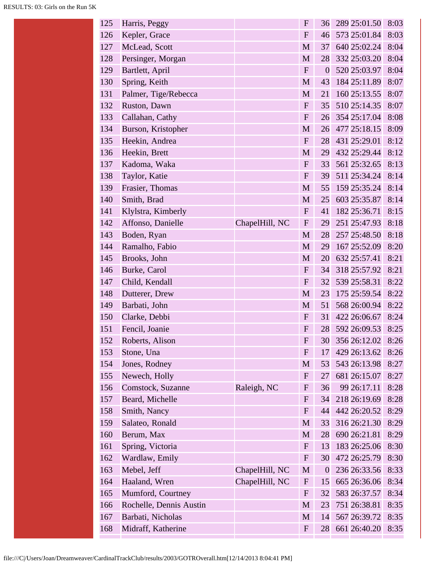| 125 | Harris, Peggy           |                | $\boldsymbol{F}$          | 36               | 289 25:01.50 | 8:03 |
|-----|-------------------------|----------------|---------------------------|------------------|--------------|------|
| 126 | Kepler, Grace           |                | $\boldsymbol{F}$          | 46               | 573 25:01.84 | 8:03 |
| 127 | McLead, Scott           |                | M                         | 37               | 640 25:02.24 | 8:04 |
| 128 | Persinger, Morgan       |                | M                         | 28               | 332 25:03.20 | 8:04 |
| 129 | Bartlett, April         |                | ${\bf F}$                 | $\overline{0}$   | 520 25:03.97 | 8:04 |
| 130 | Spring, Keith           |                | M                         | 43               | 184 25:11.89 | 8:07 |
| 131 | Palmer, Tige/Rebecca    |                | $\mathbf{M}$              | 21               | 160 25:13.55 | 8:07 |
| 132 | Ruston, Dawn            |                | $\mathbf{F}$              | 35               | 510 25:14.35 | 8:07 |
| 133 | Callahan, Cathy         |                | ${\bf F}$                 | 26               | 354 25:17.04 | 8:08 |
| 134 | Burson, Kristopher      |                | M                         | 26               | 477 25:18.15 | 8:09 |
| 135 | Heekin, Andrea          |                | ${\bf F}$                 | 28               | 431 25:29.01 | 8:12 |
| 136 | Heekin, Brett           |                | M                         | 29               | 432 25:29.44 | 8:12 |
| 137 | Kadoma, Waka            |                | ${\bf F}$                 | 33               | 561 25:32.65 | 8:13 |
| 138 | Taylor, Katie           |                | ${\bf F}$                 | 39               | 511 25:34.24 | 8:14 |
| 139 | Frasier, Thomas         |                | $\mathbf{M}$              | 55               | 159 25:35.24 | 8:14 |
| 140 | Smith, Brad             |                | M                         | 25               | 603 25:35.87 | 8:14 |
| 141 | Klylstra, Kimberly      |                | $\mathbf F$               | 41               | 182 25:36.71 | 8:15 |
| 142 | Affonso, Danielle       | ChapelHill, NC | ${\bf F}$                 | 29               | 251 25:47.93 | 8:18 |
| 143 | Boden, Ryan             |                | $\mathbf{M}$              | 28               | 257 25:48.50 | 8:18 |
| 144 | Ramalho, Fabio          |                | M                         | 29               | 167 25:52.09 | 8:20 |
| 145 | Brooks, John            |                | M                         | 20               | 632 25:57.41 | 8:21 |
| 146 | Burke, Carol            |                | ${\bf F}$                 | 34               | 318 25:57.92 | 8:21 |
| 147 | Child, Kendall          |                | ${\bf F}$                 | 32               | 539 25:58.31 | 8:22 |
| 148 | Dutterer, Drew          |                | M                         | 23               | 175 25:59.54 | 8:22 |
| 149 | Barbati, John           |                | M                         | 51               | 568 26:00.94 | 8:22 |
| 150 | Clarke, Debbi           |                | ${\bf F}$                 | 31               | 422 26:06.67 | 8:24 |
| 151 | Fencil, Joanie          |                | $\mathbf{F}$              | 28               | 592 26:09.53 | 8:25 |
| 152 | Roberts, Alison         |                | $\boldsymbol{F}$          | 30               | 356 26:12.02 | 8:26 |
| 153 | Stone, Una              |                | $\boldsymbol{\mathrm{F}}$ | 17               | 429 26:13.62 | 8:26 |
| 154 | Jones, Rodney           |                | M                         | 53               | 543 26:13.98 | 8:27 |
| 155 | Newech, Holly           |                | $\mathbf{F}$              | 27               | 681 26:15.07 | 8:27 |
| 156 | Comstock, Suzanne       | Raleigh, NC    | F                         | 36               | 99 26:17.11  | 8:28 |
| 157 | Beard, Michelle         |                | F                         | 34               | 218 26:19.69 | 8:28 |
| 158 | Smith, Nancy            |                | $\mathbf{F}$              | 44               | 442 26:20.52 | 8:29 |
| 159 | Salateo, Ronald         |                | M                         | 33               | 316 26:21.30 | 8:29 |
| 160 | Berum, Max              |                | M                         | 28               | 690 26:21.81 | 8:29 |
| 161 | Spring, Victoria        |                | F                         | 13               | 183 26:25.06 | 8:30 |
| 162 | Wardlaw, Emily          |                | $\mathbf{F}$              | 30               | 472 26:25.79 | 8:30 |
| 163 | Mebel, Jeff             | ChapelHill, NC | M                         | $\boldsymbol{0}$ | 236 26:33.56 | 8:33 |
| 164 | Haaland, Wren           | ChapelHill, NC | $\mathbf{F}$              | 15               | 665 26:36.06 | 8:34 |
| 165 | Mumford, Courtney       |                | $\mathbf{F}$              | 32               | 583 26:37.57 | 8:34 |
| 166 | Rochelle, Dennis Austin |                | M                         | 23               | 751 26:38.81 | 8:35 |
| 167 | Barbati, Nicholas       |                | M                         | 14               | 567 26:39.72 | 8:35 |
| 168 | Midraff, Katherine      |                | $\mathbf{F}$              | 28               | 661 26:40.20 | 8:35 |
|     |                         |                |                           |                  |              |      |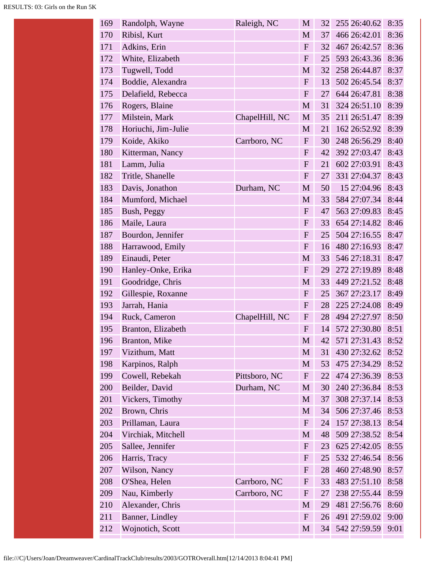| 169 | Randolph, Wayne       | Raleigh, NC    | M            | 32 | 255 26:40.62 | 8:35 |
|-----|-----------------------|----------------|--------------|----|--------------|------|
| 170 | Ribisl, Kurt          |                | M            | 37 | 466 26:42.01 | 8:36 |
| 171 | Adkins, Erin          |                | ${\bf F}$    | 32 | 467 26:42.57 | 8:36 |
| 172 | White, Elizabeth      |                | $\mathbf F$  | 25 | 593 26:43.36 | 8:36 |
| 173 | Tugwell, Todd         |                | M            | 32 | 258 26:44.87 | 8:37 |
| 174 | Boddie, Alexandra     |                | $\mathbf F$  | 13 | 502 26:45.54 | 8:37 |
| 175 | Delafield, Rebecca    |                | $\mathbf{F}$ | 27 | 644 26:47.81 | 8:38 |
| 176 | Rogers, Blaine        |                | $\mathbf M$  | 31 | 324 26:51.10 | 8:39 |
| 177 | Milstein, Mark        | ChapelHill, NC | M            | 35 | 211 26:51.47 | 8:39 |
| 178 | Horiuchi, Jim-Julie   |                | M            | 21 | 162 26:52.92 | 8:39 |
| 179 | Koide, Akiko          | Carrboro, NC   | $\mathbf{F}$ | 30 | 248 26:56.29 | 8:40 |
| 180 | Kitterman, Nancy      |                | $\mathbf{F}$ | 42 | 392 27:03.47 | 8:43 |
| 181 | Lamm, Julia           |                | $\mathbf{F}$ | 21 | 602 27:03.91 | 8:43 |
| 182 | Tritle, Shanelle      |                | $\mathbf F$  | 27 | 331 27:04.37 | 8:43 |
| 183 | Davis, Jonathon       | Durham, NC     | M            | 50 | 15 27:04.96  | 8:43 |
| 184 | Mumford, Michael      |                | M            | 33 | 584 27:07.34 | 8:44 |
| 185 | Bush, Peggy           |                | $\mathbf{F}$ | 47 | 563 27:09.83 | 8:45 |
| 186 | Maile, Laura          |                | $\mathbf F$  | 33 | 654 27:14.82 | 8:46 |
| 187 | Bourdon, Jennifer     |                | $\mathbf{F}$ | 25 | 504 27:16.55 | 8:47 |
| 188 | Harrawood, Emily      |                | $\mathbf{F}$ | 16 | 480 27:16.93 | 8:47 |
| 189 | Einaudi, Peter        |                | M            | 33 | 546 27:18.31 | 8:47 |
| 190 | Hanley-Onke, Erika    |                | $\mathbf F$  | 29 | 272 27:19.89 | 8:48 |
| 191 | Goodridge, Chris      |                | M            | 33 | 449 27:21.52 | 8:48 |
| 192 | Gillespie, Roxanne    |                | $\mathbf{F}$ | 25 | 367 27:23.17 | 8:49 |
| 193 | Jarrah, Hania         |                | $\mathbf{F}$ | 28 | 225 27:24.08 | 8:49 |
| 194 | Ruck, Cameron         | ChapelHill, NC | $\mathbf{F}$ | 28 | 494 27:27.97 | 8:50 |
| 195 | Branton, Elizabeth    |                | $\mathbf{F}$ | 14 | 572 27:30.80 | 8:51 |
| 196 | <b>Branton</b> , Mike |                | M            | 42 | 571 27:31.43 | 8:52 |
| 197 | Vizithum, Matt        |                | M            | 31 | 430 27:32.62 | 8:52 |
| 198 | Karpinos, Ralph       |                | M            | 53 | 475 27:34.29 | 8:52 |
| 199 | Cowell, Rebekah       | Pittsboro, NC  | $\mathbf{F}$ | 22 | 474 27:36.39 | 8:53 |
| 200 | Beilder, David        | Durham, NC     | M            | 30 | 240 27:36.84 | 8:53 |
| 201 | Vickers, Timothy      |                | M            | 37 | 308 27:37.14 | 8:53 |
| 202 | Brown, Chris          |                | M            | 34 | 506 27:37.46 | 8:53 |
| 203 | Prillaman, Laura      |                | $\mathbf{F}$ | 24 | 157 27:38.13 | 8:54 |
| 204 | Virchiak, Mitchell    |                | M            | 48 | 509 27:38.52 | 8:54 |
| 205 | Sallee, Jennifer      |                | F            | 23 | 625 27:42.05 | 8:55 |
| 206 | Harris, Tracy         |                | $\mathbf{F}$ | 25 | 532 27:46.54 | 8:56 |
| 207 | Wilson, Nancy         |                | F            | 28 | 460 27:48.90 | 8:57 |
| 208 | O'Shea, Helen         | Carrboro, NC   | $\mathbf{F}$ | 33 | 483 27:51.10 | 8:58 |
| 209 | Nau, Kimberly         | Carrboro, NC   | $\mathbf{F}$ | 27 | 238 27:55.44 | 8:59 |
| 210 | Alexander, Chris      |                | M            | 29 | 481 27:56.76 | 8:60 |
| 211 | Banner, Lindley       |                | $\mathbf{F}$ | 26 | 491 27:59.02 | 9:00 |
| 212 | Wojnotich, Scott      |                | M            | 34 | 542 27:59.59 | 9:01 |
|     |                       |                |              |    |              |      |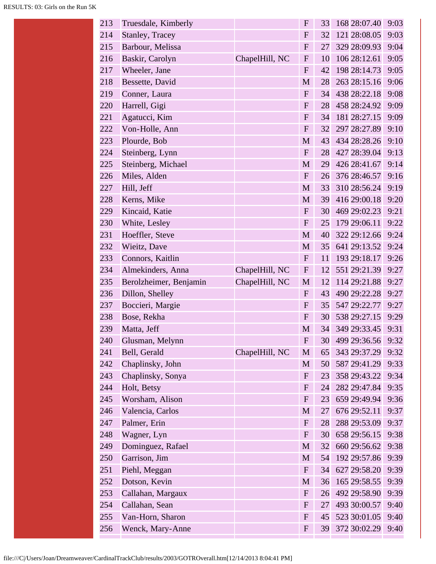| 213 | Truesdale, Kimberly    |                | $\mathbf{F}$ | 33 | 168 28:07.40 | 9:03 |
|-----|------------------------|----------------|--------------|----|--------------|------|
| 214 | Stanley, Tracey        |                | $\mathbf{F}$ | 32 | 121 28:08.05 | 9:03 |
| 215 | Barbour, Melissa       |                | $\mathbf{F}$ | 27 | 329 28:09.93 | 9:04 |
| 216 | Baskir, Carolyn        | ChapelHill, NC | ${\bf F}$    | 10 | 106 28:12.61 | 9:05 |
| 217 | Wheeler, Jane          |                | $\mathbf{F}$ | 42 | 198 28:14.73 | 9:05 |
| 218 | Bessette, David        |                | M            | 28 | 263 28:15.16 | 9:06 |
| 219 | Conner, Laura          |                | $\mathbf F$  | 34 | 438 28:22.18 | 9:08 |
| 220 | Harrell, Gigi          |                | $\mathbf{F}$ | 28 | 458 28:24.92 | 9:09 |
| 221 | Agatucci, Kim          |                | $\mathbf{F}$ | 34 | 181 28:27.15 | 9:09 |
| 222 | Von-Holle, Ann         |                | $\mathbf{F}$ | 32 | 297 28:27.89 | 9:10 |
| 223 | Plourde, Bob           |                | M            | 43 | 434 28:28.26 | 9:10 |
| 224 | Steinberg, Lynn        |                | $\mathbf{F}$ | 28 | 427 28:39.04 | 9:13 |
| 225 | Steinberg, Michael     |                | M            | 29 | 426 28:41.67 | 9:14 |
| 226 | Miles, Alden           |                | $\mathbf{F}$ | 26 | 376 28:46.57 | 9:16 |
| 227 | Hill, Jeff             |                | M            | 33 | 310 28:56.24 | 9:19 |
| 228 | Kerns, Mike            |                | M            | 39 | 416 29:00.18 | 9:20 |
| 229 | Kincaid, Katie         |                | $\mathbf{F}$ | 30 | 469 29:02.23 | 9:21 |
| 230 | White, Lesley          |                | $\mathbf{F}$ | 25 | 179 29:06.11 | 9:22 |
| 231 | Hoeffler, Steve        |                | M            | 40 | 322 29:12.66 | 9:24 |
| 232 | Wieitz, Dave           |                | M            | 35 | 641 29:13.52 | 9:24 |
| 233 | Connors, Kaitlin       |                | $\mathbf{F}$ | 11 | 193 29:18.17 | 9:26 |
| 234 | Almekinders, Anna      | ChapelHill, NC | $\mathbf{F}$ | 12 | 551 29:21.39 | 9:27 |
| 235 | Berolzheimer, Benjamin | ChapelHill, NC | M            | 12 | 114 29:21.88 | 9:27 |
| 236 | Dillon, Shelley        |                | $\mathbf{F}$ | 43 | 490 29:22.28 | 9:27 |
| 237 | Boccieri, Margie       |                | $\mathbf{F}$ | 35 | 547 29:22.77 | 9:27 |
| 238 | Bose, Rekha            |                | $\mathbf{F}$ | 30 | 538 29:27.15 | 9:29 |
| 239 | Matta, Jeff            |                | M            | 34 | 349 29:33.45 | 9:31 |
| 240 | Glusman, Melynn        |                | $\mathbf F$  | 30 | 499 29:36.56 | 9:32 |
| 241 | Bell, Gerald           | ChapelHill, NC | $\mathbf M$  | 65 | 343 29:37.29 | 9:32 |
| 242 | Chaplinsky, John       |                | M            | 50 | 587 29:41.29 | 9:33 |
| 243 | Chaplinsky, Sonya      |                | ${\bf F}$    | 23 | 358 29:43.22 | 9:34 |
| 244 | Holt, Betsy            |                | $\mathbf{F}$ | 24 | 282 29:47.84 | 9:35 |
| 245 | Worsham, Alison        |                | $\mathbf{F}$ | 23 | 659 29:49.94 | 9:36 |
| 246 | Valencia, Carlos       |                | M            | 27 | 676 29:52.11 | 9:37 |
| 247 | Palmer, Erin           |                | ${\bf F}$    | 28 | 288 29:53.09 | 9:37 |
| 248 | Wagner, Lyn            |                | $\mathbf{F}$ | 30 | 658 29:56.15 | 9:38 |
| 249 | Dominguez, Rafael      |                | $\mathbf M$  | 32 | 660 29:56.62 | 9:38 |
| 250 | Garrison, Jim          |                | M            | 54 | 192 29:57.86 | 9:39 |
| 251 | Piehl, Meggan          |                | ${\bf F}$    | 34 | 627 29:58.20 | 9:39 |
| 252 | Dotson, Kevin          |                | M            | 36 | 165 29:58.55 | 9:39 |
| 253 | Callahan, Margaux      |                | $\mathbf{F}$ | 26 | 492 29:58.90 | 9:39 |
| 254 | Callahan, Sean         |                | $\mathbf F$  | 27 | 493 30:00.57 | 9:40 |
| 255 | Van-Horn, Sharon       |                | $\mathbf{F}$ | 45 | 523 30:01.05 | 9:40 |
| 256 | Wenck, Mary-Anne       |                | $\mathbf{F}$ | 39 | 372 30:02.29 | 9:40 |
|     |                        |                |              |    |              |      |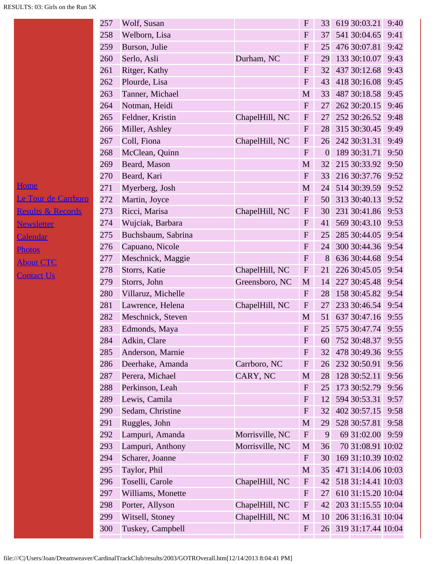|                              | 257 | Wolf, Susan        |                 | ${\bf F}$                 | 33               | 619 30:03.21       | 9:40 |
|------------------------------|-----|--------------------|-----------------|---------------------------|------------------|--------------------|------|
|                              | 258 | Welborn, Lisa      |                 | $\mathbf F$               | 37               | 541 30:04.65       | 9:41 |
|                              | 259 | Burson, Julie      |                 | ${\bf F}$                 | 25               | 476 30:07.81       | 9:42 |
|                              | 260 | Serlo, Asli        | Durham, NC      | ${\bf F}$                 | 29               | 133 30:10.07       | 9:43 |
|                              | 261 | Ritger, Kathy      |                 | ${\bf F}$                 | 32               | 437 30:12.68       | 9:43 |
|                              | 262 | Plourde, Lisa      |                 | ${\bf F}$                 | 43               | 418 30:16.08       | 9:45 |
|                              | 263 | Tanner, Michael    |                 | M                         | 33               | 487 30:18.58       | 9:45 |
|                              | 264 | Notman, Heidi      |                 | $\mathbf{F}$              | 27               | 262 30:20.15       | 9:46 |
|                              | 265 | Feldner, Kristin   | ChapelHill, NC  | $\boldsymbol{\mathrm{F}}$ | 27               | 252 30:26.52       | 9:48 |
|                              | 266 | Miller, Ashley     |                 | ${\bf F}$                 | 28               | 315 30:30.45       | 9:49 |
|                              | 267 | Coll, Fiona        | ChapelHill, NC  | $\mathbf F$               | 26               | 242 30:31.31       | 9:49 |
|                              | 268 | McClean, Quinn     |                 | ${\bf F}$                 | $\boldsymbol{0}$ | 189 30:31.71       | 9:50 |
|                              | 269 | Beard, Mason       |                 | M                         | 32               | 215 30:33.92       | 9:50 |
|                              | 270 | Beard, Kari        |                 | $\mathbf F$               | 33               | 216 30:37.76       | 9:52 |
| <u>Home</u>                  | 271 | Myerberg, Josh     |                 | M                         | 24               | 514 30:39.59       | 9:52 |
| Le Tour de Carrboro          | 272 | Martin, Joyce      |                 | $\boldsymbol{\mathrm{F}}$ | 50               | 313 30:40.13       | 9:52 |
| <b>Results &amp; Records</b> | 273 | Ricci, Marisa      | ChapelHill, NC  | $\mathbf{F}$              | 30               | 231 30:41.86       | 9:53 |
| <b>Newsletter</b>            | 274 | Wujciak, Barbara   |                 | ${\bf F}$                 | 41               | 569 30:43.10       | 9:53 |
| Calendar                     | 275 | Buchsbaum, Sabrina |                 | ${\bf F}$                 | 25               | 285 30:44.05       | 9:54 |
| <b>Photos</b>                | 276 | Capuano, Nicole    |                 | ${\bf F}$                 | 24               | 300 30:44.36       | 9:54 |
| <b>About CTC</b>             | 277 | Meschnick, Maggie  |                 | $\mathbf{F}$              | 8                | 636 30:44.68       | 9:54 |
| <b>Contact Us</b>            | 278 | Storrs, Katie      | ChapelHill, NC  | ${\bf F}$                 | 21               | 226 30:45.05       | 9:54 |
|                              | 279 | Storrs, John       | Greensboro, NC  | M                         | 14               | 227 30:45.48       | 9:54 |
|                              | 280 | Villaruz, Michelle |                 | ${\bf F}$                 | 28               | 158 30:45.82       | 9:54 |
|                              | 281 | Lawrence, Helena   | ChapelHill, NC  | ${\bf F}$                 | 27               | 233 30:46.54       | 9:54 |
|                              | 282 | Meschnick, Steven  |                 | M                         | 51               | 637 30:47.16 9:55  |      |
|                              | 283 | Edmonds, Maya      |                 | $\mathbf{F}$              | 25               | 575 30:47.74 9:55  |      |
|                              | 284 | Adkin, Clare       |                 | $\mathbf F$               | 60               | 752 30:48.37       | 9:55 |
|                              | 285 | Anderson, Marnie   |                 | $\boldsymbol{F}$          | 32               | 478 30:49.36       | 9:55 |
|                              | 286 | Deerhake, Amanda   | Carrboro, NC    | ${\bf F}$                 | 26               | 232 30:50.91       | 9:56 |
|                              | 287 | Perera, Michael    | CARY, NC        | M                         | 28               | 128 30:52.11       | 9:56 |
|                              | 288 | Perkinson, Leah    |                 | $\mathbf{F}$              | 25               | 173 30:52.79       | 9:56 |
|                              | 289 | Lewis, Camila      |                 | ${\bf F}$                 | 12               | 594 30:53.31       | 9:57 |
|                              | 290 | Sedam, Christine   |                 | ${\bf F}$                 | 32               | 402 30:57.15       | 9:58 |
|                              | 291 | Ruggles, John      |                 | M                         | 29               | 528 30:57.81       | 9:58 |
|                              | 292 | Lampuri, Amanda    | Morrisville, NC | ${\bf F}$                 | 9                | 69 31:02.00 9:59   |      |
|                              | 293 | Lampuri, Anthony   | Morrisville, NC | M                         | 36               | 70 31:08.91 10:02  |      |
|                              | 294 | Scharer, Joanne    |                 | ${\bf F}$                 | 30               | 169 31:10.39 10:02 |      |
|                              | 295 | Taylor, Phil       |                 | $\mathbf M$               | 35               | 471 31:14.06 10:03 |      |
|                              | 296 | Toselli, Carole    | ChapelHill, NC  | ${\bf F}$                 | 42               | 518 31:14.41 10:03 |      |
|                              | 297 | Williams, Monette  |                 | ${\bf F}$                 | 27               | 610 31:15.20 10:04 |      |
|                              | 298 | Porter, Allyson    | ChapelHill, NC  | ${\bf F}$                 | 42               | 203 31:15.55 10:04 |      |
|                              | 299 | Witsell, Stoney    | ChapelHill, NC  | M                         | 10               | 206 31:16.31 10:04 |      |
|                              | 300 | Tuskey, Campbell   |                 | ${\bf F}$                 | 26               | 319 31:17.44 10:04 |      |
|                              |     |                    |                 |                           |                  |                    |      |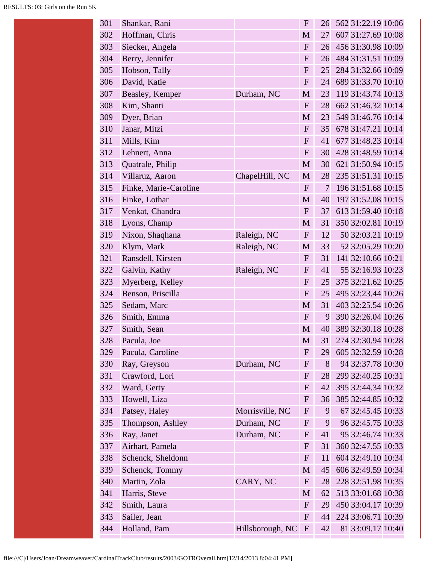| 301 | Shankar, Rani         |                  | $\mathbf{F}$ | 26 | 562 31:22.19 10:06 |
|-----|-----------------------|------------------|--------------|----|--------------------|
| 302 | Hoffman, Chris        |                  | M            | 27 | 607 31:27.69 10:08 |
| 303 | Siecker, Angela       |                  | $\mathbf{F}$ | 26 | 456 31:30.98 10:09 |
| 304 | Berry, Jennifer       |                  | $\mathbf{F}$ | 26 | 484 31:31.51 10:09 |
| 305 | Hobson, Tally         |                  | ${\bf F}$    | 25 | 284 31:32.66 10:09 |
| 306 | David, Katie          |                  | $\mathbf{F}$ | 24 | 689 31:33.70 10:10 |
| 307 | Beasley, Kemper       | Durham, NC       | $\mathbf{M}$ | 23 | 119 31:43.74 10:13 |
| 308 | Kim, Shanti           |                  | $\mathbf{F}$ | 28 | 662 31:46.32 10:14 |
| 309 | Dyer, Brian           |                  | $\mathbf{M}$ | 23 | 549 31:46.76 10:14 |
| 310 | Janar, Mitzi          |                  | $\mathbf{F}$ | 35 | 678 31:47.21 10:14 |
| 311 | Mills, Kim            |                  | ${\bf F}$    | 41 | 677 31:48.23 10:14 |
| 312 | Lehnert, Anna         |                  | $\mathbf{F}$ | 30 | 428 31:48.59 10:14 |
| 313 | Quatrale, Philip      |                  | $\mathbf{M}$ | 30 | 621 31:50.94 10:15 |
| 314 | Villaruz, Aaron       | ChapelHill, NC   | M            | 28 | 235 31:51.31 10:15 |
| 315 | Finke, Marie-Caroline |                  | $\mathbf{F}$ | 7  | 196 31:51.68 10:15 |
| 316 | Finke, Lothar         |                  | M            | 40 | 197 31:52.08 10:15 |
| 317 | Venkat, Chandra       |                  | $\mathbf F$  | 37 | 613 31:59.40 10:18 |
| 318 | Lyons, Champ          |                  | $\mathbf{M}$ | 31 | 350 32:02.81 10:19 |
| 319 | Nixon, Shaqhana       | Raleigh, NC      | $\mathbf{F}$ | 12 | 50 32:03.21 10:19  |
| 320 | Klym, Mark            | Raleigh, NC      | M            | 33 | 52 32:05.29 10:20  |
| 321 | Ransdell, Kirsten     |                  | ${\bf F}$    | 31 | 141 32:10.66 10:21 |
| 322 | Galvin, Kathy         | Raleigh, NC      | $\mathbf{F}$ | 41 | 55 32:16.93 10:23  |
| 323 | Myerberg, Kelley      |                  | ${\bf F}$    | 25 | 375 32:21.62 10:25 |
| 324 | Benson, Priscilla     |                  | $\mathbf F$  | 25 | 495 32:23.44 10:26 |
| 325 | Sedam, Marc           |                  | M            | 31 | 403 32:25.54 10:26 |
| 326 | Smith, Emma           |                  | $\mathbf{F}$ | 9  | 390 32:26.04 10:26 |
| 327 | Smith, Sean           |                  | M            | 40 | 389 32:30.18 10:28 |
| 328 | Pacula, Joe           |                  | M            | 31 | 274 32:30.94 10:28 |
| 329 | Pacula, Caroline      |                  | $\mathbf{F}$ | 29 | 605 32:32.59 10:28 |
| 330 | Ray, Greyson          | Durham, NC       | $\mathbf{F}$ | 8  | 94 32:37.78 10:30  |
| 331 | Crawford, Lori        |                  | $\mathbf{F}$ | 28 | 299 32:40.25 10:31 |
| 332 | Ward, Gerty           |                  | F            | 42 | 395 32:44.34 10:32 |
| 333 | Howell, Liza          |                  | ${\bf F}$    | 36 | 385 32:44.85 10:32 |
| 334 | Patsey, Haley         | Morrisville, NC  | $\mathbf{F}$ | 9  | 67 32:45.45 10:33  |
| 335 | Thompson, Ashley      | Durham, NC       | $\mathbf{F}$ | 9  | 96 32:45.75 10:33  |
| 336 | Ray, Janet            | Durham, NC       | $\mathbf{F}$ | 41 | 95 32:46.74 10:33  |
| 337 | Airhart, Pamela       |                  | F            | 31 | 360 32:47.55 10:33 |
| 338 | Schenck, Sheldonn     |                  | ${\bf F}$    | 11 | 604 32:49.10 10:34 |
| 339 | Schenck, Tommy        |                  | M            | 45 | 606 32:49.59 10:34 |
| 340 | Martin, Zola          | CARY, NC         | $\mathbf F$  | 28 | 228 32:51.98 10:35 |
| 341 | Harris, Steve         |                  | M            | 62 | 513 33:01.68 10:38 |
| 342 | Smith, Laura          |                  | $\mathbf{F}$ | 29 | 450 33:04.17 10:39 |
| 343 | Sailer, Jean          |                  | $\mathbf{F}$ | 44 | 224 33:06.71 10:39 |
| 344 | Holland, Pam          | Hillsborough, NC | $\mathbf{F}$ | 42 | 81 33:09.17 10:40  |
|     |                       |                  |              |    |                    |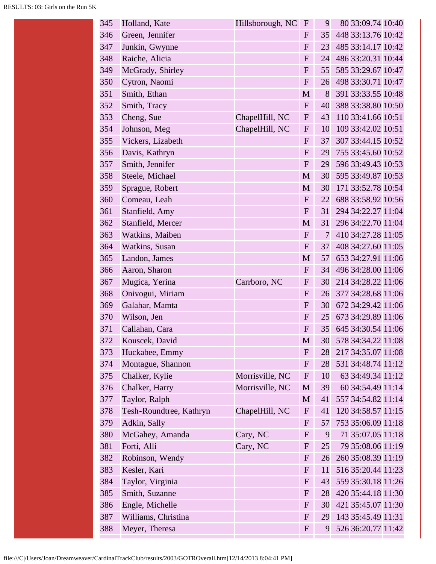| 345 | Holland, Kate           | Hillsborough, NC | $\mathbf{F}$              | 9              | 80 33:09.74 10:40  |
|-----|-------------------------|------------------|---------------------------|----------------|--------------------|
| 346 | Green, Jennifer         |                  | $\mathbf{F}$              | 35             | 448 33:13.76 10:42 |
| 347 | Junkin, Gwynne          |                  | $\mathbf{F}$              | 23             | 485 33:14.17 10:42 |
| 348 | Raiche, Alicia          |                  | $\mathbf F$               | 24             | 486 33:20.31 10:44 |
| 349 | McGrady, Shirley        |                  | $\overline{F}$            | 55             | 585 33:29.67 10:47 |
| 350 | Cytron, Naomi           |                  | $\mathbf{F}$              | 26             | 498 33:30.71 10:47 |
| 351 | Smith, Ethan            |                  | M                         | 8              | 391 33:33.55 10:48 |
| 352 | Smith, Tracy            |                  | ${\bf F}$                 | 40             | 388 33:38.80 10:50 |
| 353 | Cheng, Sue              | ChapelHill, NC   | ${\bf F}$                 | 43             | 110 33:41.66 10:51 |
| 354 | Johnson, Meg            | ChapelHill, NC   | ${\bf F}$                 | 10             | 109 33:42.02 10:51 |
| 355 | Vickers, Lizabeth       |                  | F                         | 37             | 307 33:44.15 10:52 |
| 356 | Davis, Kathryn          |                  | ${\bf F}$                 | 29             | 755 33:45.60 10:52 |
| 357 | Smith, Jennifer         |                  | ${\bf F}$                 | 29             | 596 33:49.43 10:53 |
| 358 | Steele, Michael         |                  | M                         | 30             | 595 33:49.87 10:53 |
| 359 | Sprague, Robert         |                  | M                         | 30             | 171 33:52.78 10:54 |
| 360 | Comeau, Leah            |                  | $\mathbf{F}$              | 22             | 688 33:58.92 10:56 |
| 361 | Stanfield, Amy          |                  | ${\bf F}$                 | 31             | 294 34:22.27 11:04 |
| 362 | Stanfield, Mercer       |                  | M                         | 31             | 296 34:22.70 11:04 |
| 363 | Watkins, Maiben         |                  | F                         | $\overline{7}$ | 410 34:27.28 11:05 |
| 364 | Watkins, Susan          |                  | $\mathbf{F}$              | 37             | 408 34:27.60 11:05 |
| 365 | Landon, James           |                  | M                         | 57             | 653 34:27.91 11:06 |
| 366 | Aaron, Sharon           |                  | $\mathbf{F}$              | 34             | 496 34:28.00 11:06 |
| 367 | Mugica, Yerina          | Carrboro, NC     | $\mathbf{F}$              | 30             | 214 34:28.22 11:06 |
| 368 | Onivogui, Miriam        |                  | $\mathbf{F}$              | 26             | 377 34:28.68 11:06 |
| 369 | Galahar, Mamta          |                  | ${\bf F}$                 | 30             | 672 34:29.42 11:06 |
| 370 | Wilson, Jen             |                  | $\mathbf{F}$              | 25             | 673 34:29.89 11:06 |
| 371 | Callahan, Cara          |                  | F                         | 35             | 645 34:30.54 11:06 |
| 372 | Kouscek, David          |                  | M                         | 30             | 578 34:34.22 11:08 |
| 373 | Huckabee, Emmy          |                  | $\mathbf{F}$              | 28             | 217 34:35.07 11:08 |
| 374 | Montague, Shannon       |                  | ${\bf F}$                 | 28             | 531 34:48.74 11:12 |
| 375 | Chalker, Kylie          | Morrisville, NC  | ${\bf F}$                 | 10             | 63 34:49.34 11:12  |
| 376 | Chalker, Harry          | Morrisville, NC  | $\mathbf M$               | 39             | 60 34:54.49 11:14  |
| 377 | Taylor, Ralph           |                  | $\mathbf{M}$              | 41             | 557 34:54.82 11:14 |
| 378 | Tesh-Roundtree, Kathryn | ChapelHill, NC   | $\boldsymbol{\mathrm{F}}$ | 41             | 120 34:58.57 11:15 |
| 379 | Adkin, Sally            |                  | $\boldsymbol{\mathrm{F}}$ | 57             | 753 35:06.09 11:18 |
| 380 | McGahey, Amanda         | Cary, NC         | $\mathbf{F}$              | 9              | 71 35:07.05 11:18  |
| 381 | Forti, Alli             | Cary, NC         | $\mathbf{F}$              | 25             | 79 35:08.06 11:19  |
| 382 | Robinson, Wendy         |                  | $\mathbf{F}$              | 26             | 260 35:08.39 11:19 |
| 383 | Kesler, Kari            |                  | $\mathbf{F}$              | 11             | 516 35:20.44 11:23 |
| 384 | Taylor, Virginia        |                  | $\mathbf{F}$              | 43             | 559 35:30.18 11:26 |
| 385 | Smith, Suzanne          |                  | $\mathbf{F}$              | 28             | 420 35:44.18 11:30 |
| 386 | Engle, Michelle         |                  | $\mathbf{F}$              | 30             | 421 35:45.07 11:30 |
| 387 | Williams, Christina     |                  | F                         | 29             | 143 35:45.49 11:31 |
| 388 | Meyer, Theresa          |                  | $\mathbf{F}$              | 9              | 526 36:20.77 11:42 |
|     |                         |                  |                           |                |                    |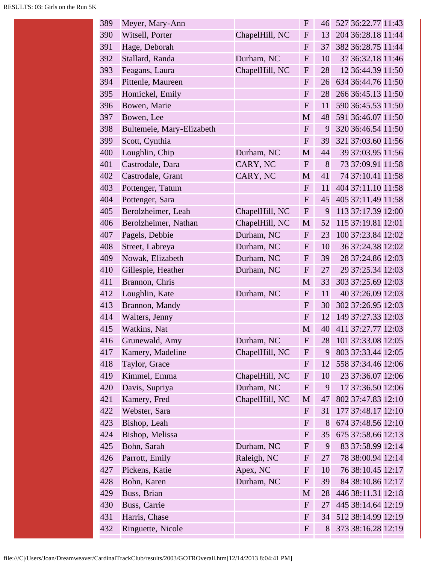| 389 | Meyer, Mary-Ann           |                | $\mathbf{F}$     | 46 | 527 36:22.77 11:43 |
|-----|---------------------------|----------------|------------------|----|--------------------|
| 390 | Witsell, Porter           | ChapelHill, NC | $\mathbf{F}$     | 13 | 204 36:28.18 11:44 |
| 391 | Hage, Deborah             |                | ${\bf F}$        | 37 | 382 36:28.75 11:44 |
| 392 | Stallard, Randa           | Durham, NC     | $\mathbf{F}$     | 10 | 37 36:32.18 11:46  |
| 393 | Feagans, Laura            | ChapelHill, NC | $\mathbf{F}$     | 28 | 12 36:44.39 11:50  |
| 394 | Pittenle, Maureen         |                | ${\bf F}$        | 26 | 634 36:44.76 11:50 |
| 395 | Homickel, Emily           |                | ${\bf F}$        | 28 | 266 36:45.13 11:50 |
| 396 | Bowen, Marie              |                | ${\bf F}$        | 11 | 590 36:45.53 11:50 |
| 397 | Bowen, Lee                |                | M                | 48 | 591 36:46.07 11:50 |
| 398 | Bultemeie, Mary-Elizabeth |                | ${\bf F}$        | 9  | 320 36:46.54 11:50 |
| 399 | Scott, Cynthia            |                | ${\bf F}$        | 39 | 321 37:03.60 11:56 |
| 400 | Loughlin, Chip            | Durham, NC     | M                | 44 | 39 37:03.95 11:56  |
| 401 | Castrodale, Dara          | CARY, NC       | ${\bf F}$        | 8  | 73 37:09.91 11:58  |
| 402 | Castrodale, Grant         | CARY, NC       | M                | 41 | 74 37:10.41 11:58  |
| 403 | Pottenger, Tatum          |                | $\mathbf{F}$     | 11 | 404 37:11.10 11:58 |
| 404 | Pottenger, Sara           |                | $\mathbf{F}$     | 45 | 405 37:11.49 11:58 |
| 405 | Berolzheimer, Leah        | ChapelHill, NC | $\boldsymbol{F}$ | 9  | 113 37:17.39 12:00 |
| 406 | Berolzheimer, Nathan      | ChapelHill, NC | M                | 52 | 115 37:19.81 12:01 |
| 407 | Pagels, Debbie            | Durham, NC     | ${\bf F}$        | 23 | 100 37:23.84 12:02 |
| 408 | Street, Labreya           | Durham, NC     | $\mathbf{F}$     | 10 | 36 37:24.38 12:02  |
| 409 | Nowak, Elizabeth          | Durham, NC     | $\mathbf{F}$     | 39 | 28 37:24.86 12:03  |
| 410 | Gillespie, Heather        | Durham, NC     | $\mathbf{F}$     | 27 | 29 37:25.34 12:03  |
| 411 | Brannon, Chris            |                | M                | 33 | 303 37:25.69 12:03 |
| 412 | Loughlin, Kate            | Durham, NC     | $\mathbf{F}$     | 11 | 40 37:26.09 12:03  |
| 413 | Brannon, Mandy            |                | $\mathbf{F}$     | 30 | 302 37:26.95 12:03 |
| 414 | Walters, Jenny            |                | ${\bf F}$        | 12 | 149 37:27.33 12:03 |
| 415 | Watkins, Nat              |                | M                | 40 | 411 37:27.77 12:03 |
| 416 | Grunewald, Amy            | Durham, NC     | F                | 28 | 101 37:33.08 12:05 |
| 417 | Kamery, Madeline          | ChapelHill, NC | $\mathbf{F}$     | 9  | 803 37:33.44 12:05 |
| 418 | Taylor, Grace             |                | ${\bf F}$        | 12 | 558 37:34.46 12:06 |
| 419 | Kimmel, Emma              | ChapelHill, NC | $\mathbf{F}$     | 10 | 23 37:36.07 12:06  |
| 420 | Davis, Supriya            | Durham, NC     | $\mathbf{F}$     | 9  | 17 37:36.50 12:06  |
| 421 | Kamery, Fred              | ChapelHill, NC | M                | 47 | 802 37:47.83 12:10 |
| 422 | Webster, Sara             |                | $\mathbf{F}$     | 31 | 177 37:48.17 12:10 |
| 423 | Bishop, Leah              |                | $\mathbf{F}$     | 8  | 674 37:48.56 12:10 |
| 424 | Bishop, Melissa           |                | $\mathbf{F}$     | 35 | 675 37:58.66 12:13 |
| 425 | Bohn, Sarah               | Durham, NC     | $\mathbf{F}$     | 9  | 83 37:58.99 12:14  |
| 426 | Parrott, Emily            | Raleigh, NC    | $\mathbf{F}$     | 27 | 78 38:00.94 12:14  |
| 427 | Pickens, Katie            | Apex, NC       | $\mathbf{F}$     | 10 | 76 38:10.45 12:17  |
| 428 | Bohn, Karen               | Durham, NC     | $\mathbf{F}$     | 39 | 84 38:10.86 12:17  |
| 429 | Buss, Brian               |                | M                | 28 | 446 38:11.31 12:18 |
| 430 | Buss, Carrie              |                | $\mathbf{F}$     | 27 | 445 38:14.64 12:19 |
| 431 | Harris, Chase             |                | $\mathbf{F}$     | 34 | 512 38:14.99 12:19 |
| 432 | Ringuette, Nicole         |                | $\mathbf{F}$     | 8  | 373 38:16.28 12:19 |
|     |                           |                |                  |    |                    |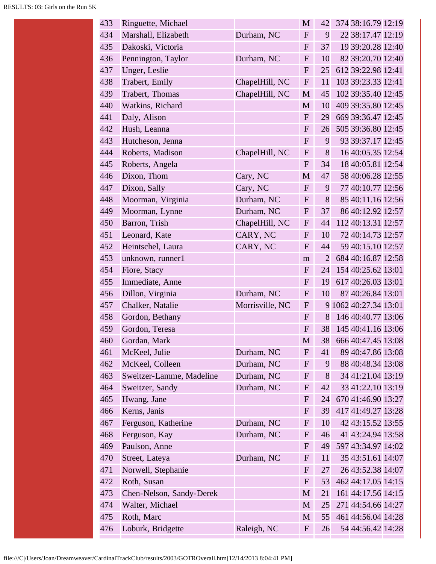| 433 | Ringuette, Michael       |                 | M                         | 42             | 374 38:16.79 12:19    |
|-----|--------------------------|-----------------|---------------------------|----------------|-----------------------|
| 434 | Marshall, Elizabeth      | Durham, NC      | ${\bf F}$                 | 9              | 22 38:17.47 12:19     |
| 435 | Dakoski, Victoria        |                 | ${\bf F}$                 | 37             | 19 39:20.28 12:40     |
| 436 | Pennington, Taylor       | Durham, NC      | ${\bf F}$                 | 10             | 82 39:20.70 12:40     |
| 437 | Unger, Leslie            |                 | ${\bf F}$                 | 25             | 612 39:22.98 12:41    |
| 438 | Trabert, Emily           | ChapelHill, NC  | ${\bf F}$                 | 11             | 103 39:23.33 12:41    |
| 439 | Trabert, Thomas          | ChapelHill, NC  | M                         | 45             | 102 39:35.40 12:45    |
| 440 | Watkins, Richard         |                 | M                         | 10             | 409 39:35.80 12:45    |
| 441 | Daly, Alison             |                 | ${\bf F}$                 | 29             | 669 39:36.47 12:45    |
| 442 | Hush, Leanna             |                 | ${\bf F}$                 | 26             | 505 39:36.80 12:45    |
| 443 | Hutcheson, Jenna         |                 | F                         | 9              | 93 39:37.17 12:45     |
| 444 | Roberts, Madison         | ChapelHill, NC  | $\mathbf F$               | 8              | 16 40:05.35 12:54     |
| 445 | Roberts, Angela          |                 | ${\bf F}$                 | 34             | 18 40:05.81 12:54     |
| 446 | Dixon, Thom              | Cary, NC        | M                         | 47             | 58 40:06.28 12:55     |
| 447 | Dixon, Sally             | Cary, NC        | ${\bf F}$                 | 9              | 77 40:10.77 12:56     |
| 448 | Moorman, Virginia        | Durham, NC      | ${\bf F}$                 | 8              | 85 40:11.16 12:56     |
| 449 | Moorman, Lynne           | Durham, NC      | ${\bf F}$                 | 37             | 86 40:12.92 12:57     |
| 450 | Barron, Trish            | ChapelHill, NC  | ${\bf F}$                 | 44             | 112 40:13.31 12:57    |
| 451 | Leonard, Kate            | CARY, NC        | $F_{\rm}$                 | 10             | 72 40:14.73 12:57     |
| 452 | Heintschel, Laura        | CARY, NC        | $\mathbf{F}$              | 44             | 59 40:15.10 12:57     |
| 453 | unknown, runner1         |                 | m                         | $\overline{2}$ | 684 40:16.87 12:58    |
| 454 | Fiore, Stacy             |                 | $\mathbf{F}$              | 24             | 154 40:25.62 13:01    |
| 455 | Immediate, Anne          |                 | ${\bf F}$                 | 19             | 617 40:26.03 13:01    |
| 456 | Dillon, Virginia         | Durham, NC      | $\mathbf{F}$              | 10             | 87 40:26.84 13:01     |
| 457 | Chalker, Natalie         | Morrisville, NC | $\mathbf{F}$              |                | 9 1062 40:27.34 13:01 |
| 458 | Gordon, Bethany          |                 | $\boldsymbol{\mathrm{F}}$ | 8              | 146 40:40.77 13:06    |
| 459 | Gordon, Teresa           |                 | $\mathbf{F}$              | 38             | 145 40:41.16 13:06    |
| 460 | Gordan, Mark             |                 | M                         | 38             | 666 40:47.45 13:08    |
| 461 | McKeel, Julie            | Durham, NC      | $\mathbf{F}$              | 41             | 89 40:47.86 13:08     |
| 462 | McKeel, Colleen          | Durham, NC      | $\mathbf{F}$              | 9              | 88 40:48.34 13:08     |
| 463 | Sweitzer-Lamme, Madeline | Durham, NC      | ${\bf F}$                 | 8              | 34 41:21.04 13:19     |
| 464 | Sweitzer, Sandy          | Durham, NC      | $\mathbf{F}$              | 42             | 33 41:22.10 13:19     |
| 465 | Hwang, Jane              |                 | $\mathbf{F}$              | 24             | 670 41:46.90 13:27    |
| 466 | Kerns, Janis             |                 | $\mathbf{F}$              | 39             | 417 41:49.27 13:28    |
| 467 | Ferguson, Katherine      | Durham, NC      | $\mathbf{F}$              | 10             | 42 43:15.52 13:55     |
| 468 | Ferguson, Kay            | Durham, NC      | $\mathbf{F}$              | 46             | 41 43:24.94 13:58     |
| 469 | Paulson, Anne            |                 | $\mathbf{F}$              | 49             | 597 43:34.97 14:02    |
| 470 | Street, Lateya           | Durham, NC      | $\mathbf{F}$              | 11             | 35 43:51.61 14:07     |
| 471 | Norwell, Stephanie       |                 | $\mathbf F$               | 27             | 26 43:52.38 14:07     |
| 472 | Roth, Susan              |                 | $\mathbf{F}$              | 53             | 462 44:17.05 14:15    |
| 473 | Chen-Nelson, Sandy-Derek |                 | M                         | 21             | 161 44:17.56 14:15    |
| 474 | Walter, Michael          |                 | M                         | 25             | 271 44:54.66 14:27    |
| 475 | Roth, Marc               |                 | M                         | 55             | 461 44:56.04 14:28    |
| 476 | Loburk, Bridgette        | Raleigh, NC     | $\mathbf{F}$              | 26             | 54 44:56.42 14:28     |
|     |                          |                 |                           |                |                       |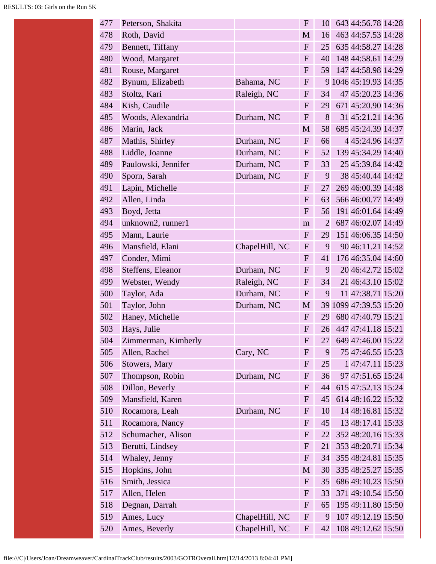| 477 | Peterson, Shakita   |                | $\mathbf{F}$ | 10             | 643 44:56.78 14:28     |
|-----|---------------------|----------------|--------------|----------------|------------------------|
| 478 | Roth, David         |                | M            | 16             | 463 44:57.53 14:28     |
| 479 | Bennett, Tiffany    |                | ${\bf F}$    | 25             | 635 44:58.27 14:28     |
| 480 | Wood, Margaret      |                | $\mathbf F$  | 40             | 148 44:58.61 14:29     |
| 481 | Rouse, Margaret     |                | $\mathbf{F}$ | 59             | 147 44:58.98 14:29     |
| 482 | Bynum, Elizabeth    | Bahama, NC     | $\mathbf{F}$ |                | 9 1046 45:19.93 14:35  |
| 483 | Stoltz, Kari        | Raleigh, NC    | $\mathbf{F}$ | 34             | 47 45:20.23 14:36      |
| 484 | Kish, Caudile       |                | $\mathbf{F}$ | 29             | 671 45:20.90 14:36     |
| 485 | Woods, Alexandria   | Durham, NC     | $\mathbf F$  | 8              | 31 45:21.21 14:36      |
| 486 | Marin, Jack         |                | M            | 58             | 685 45:24.39 14:37     |
| 487 | Mathis, Shirley     | Durham, NC     | $\mathbf{F}$ | 66             | 4 45:24.96 14:37       |
| 488 | Liddle, Joanne      | Durham, NC     | $\mathbf{F}$ | 52             | 139 45:34.29 14:40     |
| 489 | Paulowski, Jennifer | Durham, NC     | $\mathbf F$  | 33             | 25 45:39.84 14:42      |
| 490 | Sporn, Sarah        | Durham, NC     | $\mathbf{F}$ | 9              | 38 45:40.44 14:42      |
| 491 | Lapin, Michelle     |                | $\mathbf{F}$ | 27             | 269 46:00.39 14:48     |
| 492 | Allen, Linda        |                | $\mathbf{F}$ | 63             | 566 46:00.77 14:49     |
| 493 | Boyd, Jetta         |                | $\mathbf{F}$ | 56             | 191 46:01.64 14:49     |
| 494 | unknown2, runner1   |                | m            | $\overline{2}$ | 687 46:02.07 14:49     |
| 495 | Mann, Laurie        |                | $\mathbf{F}$ | 29             | 151 46:06.35 14:50     |
| 496 | Mansfield, Elani    | ChapelHill, NC | $\mathbf F$  | 9              | 90 46:11.21 14:52      |
| 497 | Conder, Mimi        |                | $\mathbf{F}$ | 41             | 176 46:35.04 14:60     |
| 498 | Steffens, Eleanor   | Durham, NC     | $\mathbf{F}$ | 9              | 20 46:42.72 15:02      |
| 499 | Webster, Wendy      | Raleigh, NC    | F            | 34             | 21 46:43.10 15:02      |
| 500 | Taylor, Ada         | Durham, NC     | $\mathbf{F}$ | 9              | 11 47:38.71 15:20      |
| 501 | Taylor, John        | Durham, NC     | $\mathbf M$  |                | 39 1099 47:39.53 15:20 |
| 502 | Haney, Michelle     |                | $\mathbf{F}$ | 29             | 680 47:40.79 15:21     |
| 503 | Hays, Julie         |                | F            | 26             | 447 47:41.18 15:21     |
| 504 | Zimmerman, Kimberly |                | $\mathbf F$  | 27             | 649 47:46.00 15:22     |
| 505 | Allen, Rachel       | Cary, NC       | $\mathbf F$  | 9              | 75 47:46.55 15:23      |
| 506 | Stowers, Mary       |                | $\mathbf{F}$ | 25             | 147:47.11 15:23        |
| 507 | Thompson, Robin     | Durham, NC     | $\mathbf{F}$ | 36             | 97 47:51.65 15:24      |
| 508 | Dillon, Beverly     |                | $\mathbf{F}$ | 44             | 615 47:52.13 15:24     |
| 509 | Mansfield, Karen    |                | $\mathbf{F}$ | 45             | 614 48:16.22 15:32     |
| 510 | Rocamora, Leah      | Durham, NC     | $\mathbf{F}$ | 10             | 14 48:16.81 15:32      |
| 511 | Rocamora, Nancy     |                | $\mathbf{F}$ | 45             | 13 48:17.41 15:33      |
| 512 | Schumacher, Alison  |                | $\mathbf{F}$ | 22             | 352 48:20.16 15:33     |
| 513 | Berutti, Lindsey    |                | $\mathbf{F}$ | 21             | 353 48:20.71 15:34     |
| 514 | Whaley, Jenny       |                | $\mathbf{F}$ | 34             | 355 48:24.81 15:35     |
| 515 | Hopkins, John       |                | M            | 30             | 335 48:25.27 15:35     |
| 516 | Smith, Jessica      |                | $\mathbf{F}$ | 35             | 686 49:10.23 15:50     |
| 517 | Allen, Helen        |                | ${\bf F}$    | 33             | 371 49:10.54 15:50     |
| 518 | Degnan, Darrah      |                | $\mathbf{F}$ | 65             | 195 49:11.80 15:50     |
| 519 | Ames, Lucy          | ChapelHill, NC | $\mathbf{F}$ | 9              | 107 49:12.19 15:50     |
| 520 | Ames, Beverly       | ChapelHill, NC | $\mathbf{F}$ | 42             | 108 49:12.62 15:50     |
|     |                     |                |              |                |                        |